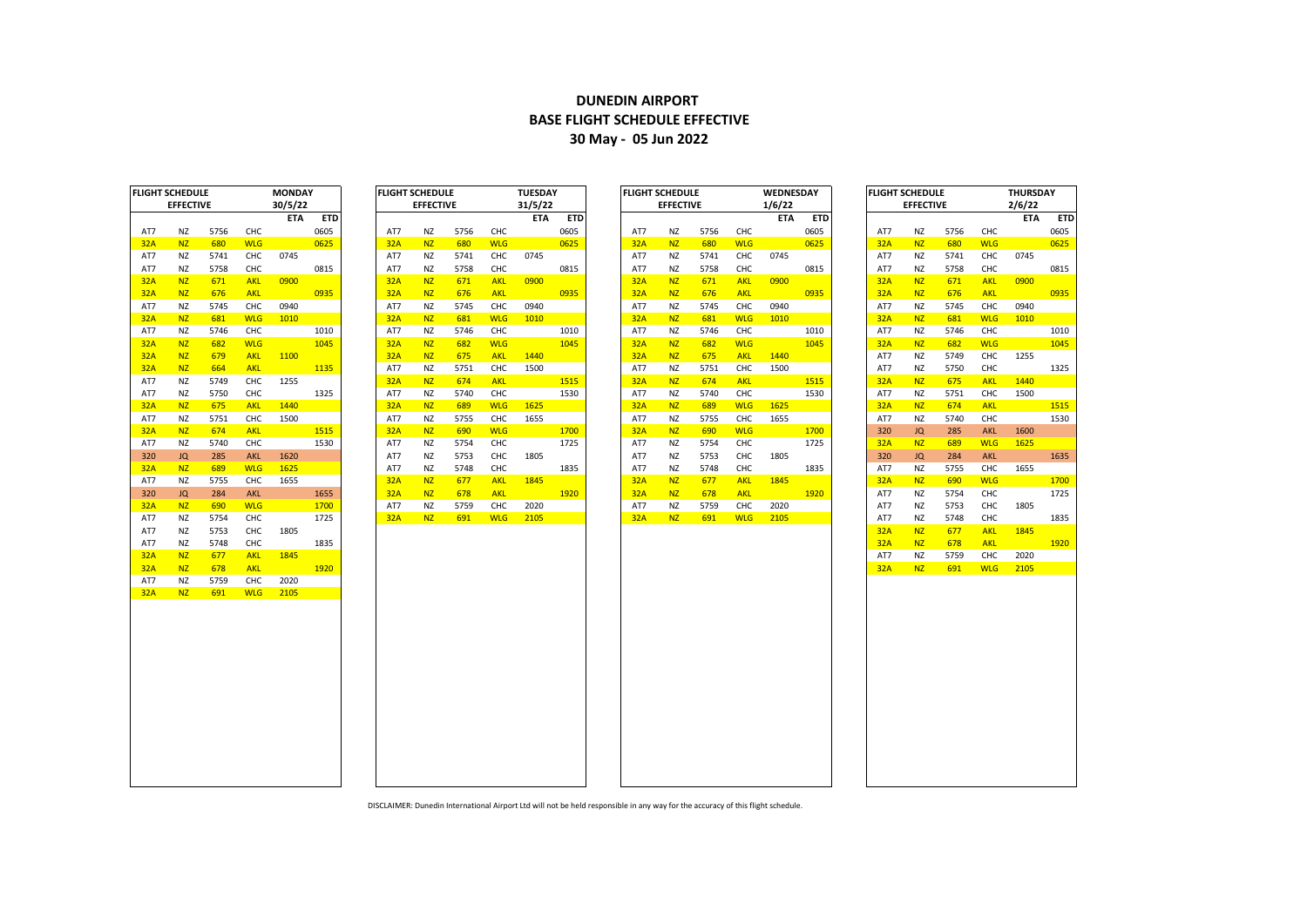## **DUNEDIN AIRPORT BASE FLIGHT SCHEDULE EFFECTIVE 30 May - 05 Jun 2022**

| AT7<br><b>32A</b><br>AT7<br>AT7<br>32A | <b>EFFECTIVE</b><br>ΝZ<br><b>NZ</b><br>ΝZ | 5756<br>680 | CHC<br><b>WLG</b> | 30/5/22<br><b>ETA</b> | <b>ETD</b><br>0605 |
|----------------------------------------|-------------------------------------------|-------------|-------------------|-----------------------|--------------------|
|                                        |                                           |             |                   |                       |                    |
|                                        |                                           |             |                   |                       |                    |
|                                        |                                           |             |                   |                       |                    |
|                                        |                                           |             |                   |                       | 0625               |
|                                        |                                           | 5741        | снс               | 0745                  |                    |
|                                        | ΝZ                                        | 5758        | снс               |                       | 0815               |
|                                        | <b>NZ</b>                                 | 671         | <b>AKL</b>        | 0900                  |                    |
| 32A                                    | <b>NZ</b>                                 | 676         | <b>AKL</b>        |                       | 0935               |
| AT7                                    | <b>NZ</b>                                 | 5745        | CHC               | 0940                  |                    |
| 32A                                    | <b>NZ</b>                                 | 681         | <b>WLG</b>        | 1010                  |                    |
| AT7                                    | ΝZ                                        | 5746        | CHC               |                       | 1010               |
| <b>32A</b>                             | <b>NZ</b>                                 | 682         | <b>WLG</b>        |                       | 1045               |
| 32A                                    | <b>NZ</b>                                 | 679         | <b>AKL</b>        | 1100                  |                    |
| 32A                                    | <b>NZ</b>                                 | 664         | <b>AKL</b>        |                       | 1135               |
| AT7                                    | ΝZ                                        | 5749        | CHC               | 1255                  |                    |
| AT7                                    | ΝZ                                        | 5750        | CHC               |                       | 1325               |
| 32A                                    | <b>NZ</b>                                 | 675         | <b>AKL</b>        | 1440                  |                    |
| AT7                                    | ΝZ                                        | 5751        | CHC               | 1500                  |                    |
| 32A                                    | <b>NZ</b>                                 | 674         | <b>AKL</b>        |                       | 1515               |
| AT7                                    | NZ                                        | 5740        | CHC               |                       | 1530               |
| 320                                    | JQ                                        | 285         | <b>AKL</b>        | 1620                  |                    |
| 32A                                    | <b>NZ</b>                                 | 689         | <b>WLG</b>        | 1625                  |                    |
| AT7                                    | ΝZ                                        | 5755        | CHC               | 1655                  |                    |
| 320                                    | JQ                                        | 284         | <b>AKL</b>        |                       | 1655               |
| 32A                                    | <b>NZ</b>                                 | 690         | <b>WLG</b>        |                       | 1700               |
| AT7                                    | ΝZ                                        | 5754        | CHC               |                       | 1725               |
| AT7                                    | ΝZ                                        | 5753        | CHC               | 1805                  |                    |
| AT7                                    | ΝZ<br><b>NZ</b>                           | 5748        | снс<br><b>AKL</b> | 1845                  | 1835               |
| 32A<br>32A                             | <b>NZ</b>                                 | 677<br>678  | <b>AKL</b>        |                       | 1920               |
| AT7                                    |                                           |             | CHC               | 2020                  |                    |
| 32A                                    | ΝZ<br><b>NZ</b>                           | 5759<br>691 | <b>WLG</b>        | 2105                  |                    |
|                                        |                                           |             |                   |                       |                    |

|            | IGHT SCHEDULE    |      |            | <b>MONDAY</b> |            |            | <b>FLIGHT SCHEDULE</b> |      |            | <b>IUESDAY</b> |            | FLIGHT SCHEDULE |                  |      |            | <b>WEDNESDAY</b> |            | <b>FLIGHT SCHEDULE</b> |                  |      |            | <b>IHURSDAY</b> |      |
|------------|------------------|------|------------|---------------|------------|------------|------------------------|------|------------|----------------|------------|-----------------|------------------|------|------------|------------------|------------|------------------------|------------------|------|------------|-----------------|------|
|            | <b>EFFECTIVE</b> |      |            | 30/5/22       |            |            | <b>EFFECTIVE</b>       |      |            | 31/5/22        |            |                 | <b>EFFECTIVE</b> |      |            | 1/6/22           |            |                        | <b>EFFECTIVE</b> |      |            | 2/6/22          |      |
|            |                  |      |            | <b>ETA</b>    | <b>ETD</b> |            |                        |      |            | <b>ETA</b>     | <b>ETD</b> |                 |                  |      |            | <b>ETA</b>       | <b>ETD</b> |                        |                  |      |            | <b>ETA</b>      | ET   |
| AT7        | ΝZ               | 5756 | CHC        |               | 0605       | AT7        | ΝZ                     | 5756 | CHC        |                | 0605       | AT7             | ΝZ               | 5756 | CHC        |                  | 0605       | AT7                    | NZ               | 5756 | CHC        |                 | 0605 |
| 32A        | <b>NZ</b>        | 680  | <b>WLG</b> |               | 0625       | 32A        | <b>NZ</b>              | 680  | <b>WLG</b> |                | 0625       | 32A             | <b>NZ</b>        | 680  | <b>WLG</b> |                  | 0625       | 32A                    | <b>NZ</b>        | 680  | <b>WLG</b> |                 | 0625 |
| AT7        | ΝZ               | 5741 | CHC        | 0745          |            | AT7        | NZ                     | 5741 | CHC        | 0745           |            | AT7             | <b>NZ</b>        | 5741 | CHC        | 0745             |            | AT7                    | NZ               | 5741 | CHC        | 0745            |      |
| AT7        | NZ               | 5758 | CHC        |               | 0815       | AT7        | <b>NZ</b>              | 5758 | CHC        |                | 0815       | AT7             | ΝZ               | 5758 | CHC        |                  | 0815       | AT7                    | ΝZ               | 5758 | CHC        |                 | 0815 |
| 32A        | <b>NZ</b>        | 671  | <b>AKL</b> | 0900          |            | 32A        | <b>NZ</b>              | 671  | <b>AKL</b> | 0900           |            | 32A             | <b>NZ</b>        | 671  | <b>AKL</b> | 0900             |            | 32A                    | <b>NZ</b>        | 671  | <b>AKL</b> | 0900            |      |
| <u>32A</u> | <b>NZ</b>        | 676  | <b>AKL</b> |               | 0935       | 32A        | <b>NZ</b>              | 676  | <b>AKL</b> |                | 0935       | 32A             | <b>NZ</b>        | 676  | <b>AKL</b> |                  | 0935       | 32A                    | <b>NZ</b>        | 676  | <b>AKL</b> |                 | 0935 |
|            | NZ               | 5745 | CHC        | 0940          |            |            | NZ                     | 5745 | CHC        | 0940           |            | AT7             | NZ               | 5745 | CHC        | 0940             |            |                        | NZ               | 5745 | CHC        | 0940            |      |
| AT7        | NZ               | 681  | <b>WLG</b> | 1010          |            | AT7<br>32A | <b>NZ</b>              | 681  | <b>WLG</b> | 1010           |            | 32A             | NZ               | 681  | <b>WLG</b> | 1010             |            | AT7<br>32A             | NZ               | 681  | <b>WLG</b> | 1010            |      |
| <u>32A</u> | <b>NZ</b>        | 5746 | CHC        |               | 1010       | AT7        | <b>NZ</b>              | 5746 | CHC        |                | 1010       | AT7             | <b>NZ</b>        | 5746 | CHC        |                  | 1010       | AT7                    | <b>NZ</b>        | 5746 | CHC        |                 | 1010 |
| AT7        | <b>NZ</b>        | 682  | <b>WLG</b> |               | 1045       | 32A        | <b>NZ</b>              | 682  | <b>WLG</b> |                | 1045       | 32A             | <b>NZ</b>        | 682  | <b>WLG</b> |                  | 1045       |                        | <b>NZ</b>        | 682  | <b>WLG</b> |                 | 1045 |
| 32A        |                  |      |            |               |            |            |                        |      |            |                |            |                 |                  |      |            |                  |            | 32A                    |                  |      |            |                 |      |
| 32A        | <b>NZ</b>        | 679  | <b>AKL</b> | 1100          |            | 32A        | <b>NZ</b>              | 675  | <b>AKL</b> | 1440           |            | 32A             | <b>NZ</b>        | 675  | <b>AKL</b> | 1440             |            | AT7                    | ΝZ               | 5749 | CHC        | 1255            |      |
| 32A        | <b>NZ</b>        | 664  | <b>AKL</b> |               | 1135       | AT7        | NZ                     | 5751 | CHC        | 1500           |            | AT7             | NZ               | 5751 | CHC        | 1500             |            | AT7                    | <b>NZ</b>        | 5750 | CHC        |                 | 1325 |
| AT7        | ΝZ               | 5749 | CHC        | 1255          |            | 32A        | <b>NZ</b>              | 674  | <b>AKL</b> |                | 1515       | 32A             | <b>NZ</b>        | 674  | <b>AKL</b> |                  | 1515       | 32A                    | <b>NZ</b>        | 675  | <b>AKL</b> | 1440            |      |
| AT7        | NZ               | 5750 | CHC        |               | 1325       | AT7        | NZ                     | 5740 | CHC        |                | 1530       | AT7             | <b>NZ</b>        | 5740 | CHC        |                  | 1530       | AT7                    | <b>NZ</b>        | 5751 | CHC        | 1500            |      |
| 32A        | <b>NZ</b>        | 675  | <b>AKL</b> | 1440          |            | 32A        | <b>NZ</b>              | 689  | <b>WLG</b> | 1625           |            | 32A             | <b>NZ</b>        | 689  | <b>WLG</b> | 1625             |            | 32A                    | <b>NZ</b>        | 674  | <b>AKL</b> |                 | 1515 |
| AT7        | NZ               | 5751 | CHC        | 1500          |            | AT7        | NZ                     | 5755 | CHC        | 1655           |            | AT7             | <b>NZ</b>        | 5755 | CHC        | 1655             |            | AT7                    | <b>NZ</b>        | 5740 | CHC        |                 | 1530 |
| 32A        | N <sub>Z</sub>   | 674  | <b>AKL</b> |               | 1515       | 32A        | <b>NZ</b>              | 690  | <b>WLG</b> |                | 1700       | 32A             | NZ               | 690  | <b>WLG</b> |                  | 1700       | 320                    | JQ               | 285  | <b>AKL</b> | 1600            |      |
| AT7        | <b>NZ</b>        | 5740 | CHC        |               | 1530       | AT7        | <b>NZ</b>              | 5754 | <b>CHC</b> |                | 1725       | AT7             | ΝZ               | 5754 | CHC        |                  | 1725       | 32A                    | <b>NZ</b>        | 689  | <b>WLG</b> | 1625            |      |
| 320        | JQ               | 285  | AKL        | 1620          |            | AT7        | <b>NZ</b>              | 5753 | CHC        | 1805           |            | AT7             | NZ               | 5753 | CHC        | 1805             |            | 320                    | JQ               | 284  | <b>AKL</b> |                 | 1635 |
| 32A        | <b>NZ</b>        | 689  | <b>WLG</b> | 1625          |            | AT7        | NZ                     | 5748 | CHC        |                | 1835       | AT7             | ΝZ               | 5748 | CHC        |                  | 1835       | AT7                    | ΝZ               | 5755 | CHC        | 1655            |      |
| AT7        | <b>NZ</b>        | 5755 | CHC        | 1655          |            | 32A        | <b>NZ</b>              | 677  | <b>AKL</b> | 1845           |            | 32A             | <b>NZ</b>        | 677  | <b>AKL</b> | 1845             |            | 32A                    | <b>NZ</b>        | 690  | <b>WLG</b> |                 | 1700 |
| 320        | JQ               | 284  | AKL        |               | 1655       | 32A        | <b>NZ</b>              | 678  | <b>AKL</b> |                | 1920       | 32A             | <b>NZ</b>        | 678  | <b>AKL</b> |                  | 1920       | AT7                    | ΝZ               | 5754 | CHC        |                 | 1725 |
| 32A        | <b>NZ</b>        | 690  | <b>WLG</b> |               | 1700       | AT7        | NZ                     | 5759 | CHC        | 2020           |            | AT7             | <b>NZ</b>        | 5759 | <b>CHC</b> | 2020             |            | AT7                    | <b>NZ</b>        | 5753 | CHC        | 1805            |      |
| AT7        | NZ               | 5754 | CHC        |               | 1725       | 32A        | <b>NZ</b>              | 691  | <b>WLG</b> | 2105           |            | 32A             | <b>NZ</b>        | 691  | <b>WLG</b> | 2105             |            | AT7                    | <b>NZ</b>        | 5748 | CHC        |                 | 1835 |
| AT7        | NZ               | 5753 | CHC        | 1805          |            |            |                        |      |            |                |            |                 |                  |      |            |                  |            | 32A                    | NZ               | 677  | <b>AKL</b> | 1845            |      |
| AT7        | NZ               | 5748 | CHC        |               | 1835       |            |                        |      |            |                |            |                 |                  |      |            |                  |            | 32A                    | NZ               | 678  | <b>AKL</b> |                 | 1920 |
| 32A        | NZ               | 677  | <b>AKL</b> | 1845          |            |            |                        |      |            |                |            |                 |                  |      |            |                  |            | AT7                    | <b>NZ</b>        | 5759 | CHC        | 2020            |      |
| <u>32A</u> | <b>NZ</b>        | 678  | <b>AKL</b> |               | 1920       |            |                        |      |            |                |            |                 |                  |      |            |                  |            | 32A                    | <b>NZ</b>        | 691  | <b>WLG</b> | 2105            |      |
| AT7        | NZ               | 5759 | CHC        | 2020          |            |            |                        |      |            |                |            |                 |                  |      |            |                  |            |                        |                  |      |            |                 |      |
| 32A        | <b>NZ</b>        | 691  | <b>WLG</b> | 2105          |            |            |                        |      |            |                |            |                 |                  |      |            |                  |            |                        |                  |      |            |                 |      |
|            |                  |      |            |               |            |            |                        |      |            |                |            |                 |                  |      |            |                  |            |                        |                  |      |            |                 |      |
|            |                  |      |            |               |            |            |                        |      |            |                |            |                 |                  |      |            |                  |            |                        |                  |      |            |                 |      |
|            |                  |      |            |               |            |            |                        |      |            |                |            |                 |                  |      |            |                  |            |                        |                  |      |            |                 |      |
|            |                  |      |            |               |            |            |                        |      |            |                |            |                 |                  |      |            |                  |            |                        |                  |      |            |                 |      |
|            |                  |      |            |               |            |            |                        |      |            |                |            |                 |                  |      |            |                  |            |                        |                  |      |            |                 |      |
|            |                  |      |            |               |            |            |                        |      |            |                |            |                 |                  |      |            |                  |            |                        |                  |      |            |                 |      |
|            |                  |      |            |               |            |            |                        |      |            |                |            |                 |                  |      |            |                  |            |                        |                  |      |            |                 |      |
|            |                  |      |            |               |            |            |                        |      |            |                |            |                 |                  |      |            |                  |            |                        |                  |      |            |                 |      |
|            |                  |      |            |               |            |            |                        |      |            |                |            |                 |                  |      |            |                  |            |                        |                  |      |            |                 |      |
|            |                  |      |            |               |            |            |                        |      |            |                |            |                 |                  |      |            |                  |            |                        |                  |      |            |                 |      |
|            |                  |      |            |               |            |            |                        |      |            |                |            |                 |                  |      |            |                  |            |                        |                  |      |            |                 |      |
|            |                  |      |            |               |            |            |                        |      |            |                |            |                 |                  |      |            |                  |            |                        |                  |      |            |                 |      |
|            |                  |      |            |               |            |            |                        |      |            |                |            |                 |                  |      |            |                  |            |                        |                  |      |            |                 |      |
|            |                  |      |            |               |            |            |                        |      |            |                |            |                 |                  |      |            |                  |            |                        |                  |      |            |                 |      |

| FLIGHT SCHEDULE |                  |      |            | <b>MONDAY</b> |            | <b>FLIGHT SCHEDULE</b> |                  |      |            | TUESDAY    |            | <b>FLIGHT SCHEDULE</b> |                  |      |            | <b>WEDNESDAY</b> |            | <b>IFLIGHT SCHEDULE</b> |                  |      |            | THURSDAY   |            |
|-----------------|------------------|------|------------|---------------|------------|------------------------|------------------|------|------------|------------|------------|------------------------|------------------|------|------------|------------------|------------|-------------------------|------------------|------|------------|------------|------------|
|                 | <b>EFFECTIVE</b> |      |            | 30/5/22       |            |                        | <b>EFFECTIVE</b> |      |            | 31/5/22    |            |                        | <b>EFFECTIVE</b> |      |            | 1/6/22           |            |                         | <b>EFFECTIVE</b> |      |            | 2/6/22     |            |
|                 |                  |      |            | <b>ETA</b>    | <b>ETD</b> |                        |                  |      |            | <b>ETA</b> | <b>ETD</b> |                        |                  |      |            | <b>ETA</b>       | <b>ETD</b> |                         |                  |      |            | <b>ETA</b> | <b>ETD</b> |
| AT7             | <b>NZ</b>        | 5756 | CHC        |               | 0605       | AT7                    | <b>NZ</b>        | 5756 | <b>CHC</b> |            | 0605       | AT7                    | <b>NZ</b>        | 5756 | CHC        |                  | 0605       | AT7                     | <b>NZ</b>        | 5756 | CHC        |            | 0605       |
| 32A             | N <sub>Z</sub>   | 680  | <b>WLG</b> |               | 0625       | 32A                    | <b>NZ</b>        | 680  | <b>WLG</b> |            | 0625       | 32A                    | <b>NZ</b>        | 680  | <b>WLG</b> |                  | 0625       | 32A                     | <b>NZ</b>        | 680  | <b>WLG</b> |            | 0625       |
| AT7             | <b>NZ</b>        | 5741 | CHC        | 0745          |            | AT7                    | <b>NZ</b>        | 5741 | CHC        | 0745       |            | AT7                    | ΝZ               | 5741 | CHC        | 0745             |            | AT7                     | NZ               | 5741 | CHC        | 0745       |            |
| AT7             | <b>NZ</b>        | 5758 | CHC        |               | 0815       | AT7                    | NZ               | 5758 | CHC        |            | 0815       | AT7                    | ΝZ               | 5758 | CHC        |                  | 0815       | AT7                     | <b>NZ</b>        | 5758 | CHC        |            | 0815       |
| 32A             | N <sub>Z</sub>   | 671  | <b>AKL</b> | 0900          |            | 32A                    | <b>NZ</b>        | 671  | <b>AKL</b> | 0900       |            | 32A                    | <b>NZ</b>        | 671  | <b>AKL</b> | 0900             |            | 32A                     | N <sub>Z</sub>   | 671  | <b>AKL</b> | 0900       |            |
| 32A             | N <sub>Z</sub>   | 676  | <b>AKL</b> |               | 0935       | 32A                    | N <sub>Z</sub>   | 676  | <b>AKL</b> |            | 0935       | 32A                    | <b>NZ</b>        | 676  | <b>AKL</b> |                  | 0935       | 32A                     | <b>NZ</b>        | 676  | <b>AKL</b> |            | 0935       |
| AT7             | NZ               | 5745 | CHC        | 0940          |            | AT7                    | <b>NZ</b>        | 5745 | CHC        | 0940       |            | AT7                    | NZ               | 5745 | CHC        | 0940             |            | AT7                     | <b>NZ</b>        | 5745 | CHC        | 0940       |            |
| 32A             | N <sub>Z</sub>   | 681  | <b>WLG</b> | 1010          |            | 32A                    | <b>NZ</b>        | 681  | <b>WLG</b> | 1010       |            | 32A                    | <b>NZ</b>        | 681  | <b>WLG</b> | 1010             |            | 32A                     | N <sub>Z</sub>   | 681  | <b>WLG</b> | 1010       |            |
| AT7             | NZ               | 5746 | CHC        |               | 1010       | AT7                    | <b>NZ</b>        | 5746 | CHC        |            | 1010       | AT7                    | ΝZ               | 5746 | CHC        |                  | 1010       | AT7                     | NZ               | 5746 | CHC        |            | 1010       |
| 32A             | N <sub>Z</sub>   | 682  | <b>WLG</b> |               | 1045       | 32A                    | <b>NZ</b>        | 682  | <b>WLG</b> |            | 1045       | 32A                    | <b>NZ</b>        | 682  | <b>WLG</b> |                  | 1045       | 32A                     | N <sub>Z</sub>   | 682  | <b>WLG</b> |            | 1045       |
| 32A             | N <sub>Z</sub>   | 679  | <b>AKL</b> | 1100          |            | 32A                    | N <sub>Z</sub>   | 675  | <b>AKL</b> | 1440       |            | 32A                    | <b>NZ</b>        | 675  | <b>AKL</b> | 1440             |            | AT7                     | <b>NZ</b>        | 5749 | CHC        | 1255       |            |
| 32A             | N <sub>Z</sub>   | 664  | <b>AKL</b> |               | 1135       | AT7                    | <b>NZ</b>        | 5751 | CHC        | 1500       |            | AT7                    | NZ               | 5751 | CHC        | 1500             |            | AT7                     | <b>NZ</b>        | 5750 | CHC        |            | 1325       |
| AT7             | <b>NZ</b>        | 5749 | CHC        | 1255          |            | 32A                    | <b>NZ</b>        | 674  | <b>AKL</b> |            | 1515       | 32A                    | <b>NZ</b>        | 674  | <b>AKL</b> |                  | 1515       | 32A                     | <b>NZ</b>        | 675  | <b>AKL</b> | 1440       |            |
| AT7             | <b>NZ</b>        | 5750 | CHC        |               | 1325       | AT7                    | NZ               | 5740 | CHC        |            | 1530       | AT7                    | NZ               | 5740 | CHC        |                  | 1530       | AT7                     | <b>NZ</b>        | 5751 | CHC        | 1500       |            |
| 32A             | N <sub>Z</sub>   | 675  | <b>AKL</b> | 1440          |            | 32A                    | N <sub>Z</sub>   | 689  | <b>WLG</b> | 1625       |            | 32A                    | <b>NZ</b>        | 689  | <b>WLG</b> | 1625             |            | 32A                     | <b>NZ</b>        | 674  | <b>AKL</b> |            | 1515       |
| AT7             | NZ               | 5751 | CHC        | 1500          |            | AT7                    | NZ               | 5755 | CHC        | 1655       |            | AT7                    | NZ               | 5755 | CHC        | 1655             |            | AT7                     | <b>NZ</b>        | 5740 | CHC        |            | 1530       |
| 32A             | N <sub>Z</sub>   | 674  | <b>AKL</b> |               | 1515       | 32A                    | <b>NZ</b>        | 690  | <b>WLG</b> |            | 1700       | 32A                    | <b>NZ</b>        | 690  | <b>WLG</b> |                  | 1700       | 320                     | JQ               | 285  | <b>AKL</b> | 1600       |            |
| AT7             | NZ               | 5740 | CHC        |               | 1530       | AT7                    | NZ               | 5754 | CHC        |            | 1725       | AT7                    | <b>NZ</b>        | 5754 | <b>CHC</b> |                  | 1725       | 32A                     | <b>NZ</b>        | 689  | <b>WLG</b> | 1625       |            |
| 320             | <b>JQ</b>        | 285  | <b>AKL</b> | 1620          |            | AT7                    | NZ               | 5753 | CHC        | 1805       |            | AT7                    | NZ               | 5753 | CHC        | 1805             |            | 320                     | JQ               | 284  | <b>AKL</b> |            | 1635       |
| 32A             | <b>NZ</b>        | 689  | <b>WLG</b> | 1625          |            | AT7                    | NZ               | 5748 | CHC        |            | 1835       | AT7                    | NZ               | 5748 | CHC        |                  | 1835       | AT7                     | <b>NZ</b>        | 5755 | CHC        | 1655       |            |
| AT7             | NZ               | 5755 | <b>CHC</b> | 1655          |            | 32A                    | N <sub>Z</sub>   | 677  | <b>AKL</b> | 1845       |            | 32A                    | <b>NZ</b>        | 677  | <b>AKL</b> | 1845             |            | 32A                     | <b>NZ</b>        | 690  | <b>WLG</b> |            | 1700       |
| 320             | <b>JQ</b>        | 284  | <b>AKL</b> |               | 1655       | 32A                    | N <sub>Z</sub>   | 678  | <b>AKL</b> |            | 1920       | 32A                    | <b>NZ</b>        | 678  | <b>AKL</b> |                  | 1920       | AT7                     | <b>NZ</b>        | 5754 | CHC        |            | 1725       |
| 32A             | N <sub>Z</sub>   | 690  | <b>WLG</b> |               | 1700       | AT7                    | <b>NZ</b>        | 5759 | CHC        | 2020       |            | AT7                    | <b>NZ</b>        | 5759 | CHC        | 2020             |            | AT7                     | <b>NZ</b>        | 5753 | CHC        | 1805       |            |
| AT7             | NZ               | 5754 | CHC        |               | 1725       | 32A                    | <b>NZ</b>        | 691  | <b>WLG</b> | 2105       |            | 32A                    | <b>NZ</b>        | 691  | <b>WLG</b> | 2105             |            | AT7                     | <b>NZ</b>        | 5748 | CHC        |            | 1835       |
| AT7             | ΝZ               | 5753 | CHC        | 1805          |            |                        |                  |      |            |            |            |                        |                  |      |            |                  |            | 32A                     | N <sub>7</sub>   | 677  | <b>AKL</b> | 1845       |            |
|                 |                  |      |            |               |            |                        |                  |      |            |            |            |                        |                  |      |            |                  |            |                         |                  |      |            |            |            |

|            | <b>FLIGHT SCHEDULE</b> |      |            | <b>THURSDAY</b> |      |
|------------|------------------------|------|------------|-----------------|------|
|            | <b>EFFECTIVE</b>       |      |            | 2/6/22          |      |
|            |                        |      |            | ETA             | ETD  |
| AT7        | ΝZ                     | 5756 | CHC        |                 | 0605 |
| <b>32A</b> | NZ                     | 680  | <b>WLG</b> |                 | 0625 |
| AT7        | ΝZ                     | 5741 | снс        | 0745            |      |
| AT7        | ΝZ                     | 5758 | CHC        |                 | 0815 |
| 32A        | <b>NZ</b>              | 671  | <b>AKL</b> | 0900            |      |
| 32A        | NZ                     | 676  | <b>AKL</b> |                 | 0935 |
| AT7        | ΝZ                     | 5745 | CHC        | 0940            |      |
| 32A        | <b>NZ</b>              | 681  | <b>WLG</b> | 1010            |      |
| AT7        | ΝZ                     | 5746 | CHC        |                 | 1010 |
| 32A        | <b>NZ</b>              | 682  | <b>WLG</b> |                 | 1045 |
| AT7        | ΝZ                     | 5749 | CHC        | 1255            |      |
| AT7        | ΝZ                     | 5750 | CHC        |                 | 1325 |
| 32A        | <b>NZ</b>              | 675  | <b>AKL</b> | 1440            |      |
| AT7        | ΝZ                     | 5751 | CHC        | 1500            |      |
| <b>32A</b> | NZ                     | 674  | <b>AKL</b> |                 | 1515 |
| AT7        | ΝZ                     | 5740 | CHC        |                 | 1530 |
| 320        | JQ                     | 285  | <b>AKL</b> | 1600            |      |
| 32A        | <b>NZ</b>              | 689  | <b>WLG</b> | 1625            |      |
| 320        | JQ                     | 284  | <b>AKL</b> |                 | 1635 |
| AT7        | ΝZ                     | 5755 | CHC        | 1655            |      |
| 32A        | <b>NZ</b>              | 690  | <b>WLG</b> |                 | 1700 |
| AT7        | ΝZ                     | 5754 | CHC        |                 | 1725 |
| AT7        | ΝZ                     | 5753 | CHC        | 1805            |      |
| AT7        | ΝZ                     | 5748 | CHC        |                 | 1835 |
| 32A        | <b>NZ</b>              | 677  | <b>AKL</b> | 1845            |      |
| 32A        | <b>NZ</b>              | 678  | <b>AKL</b> |                 | 1920 |
| AT7        | ΝZ                     | 5759 | CHC        | 2020            |      |
| 32A        | <b>NZ</b>              | 691  | <b>WLG</b> | 2105            |      |

DISCLAIMER: Dunedin International Airport Ltd will not be held responsible in any way for the accuracy of this flight schedule.